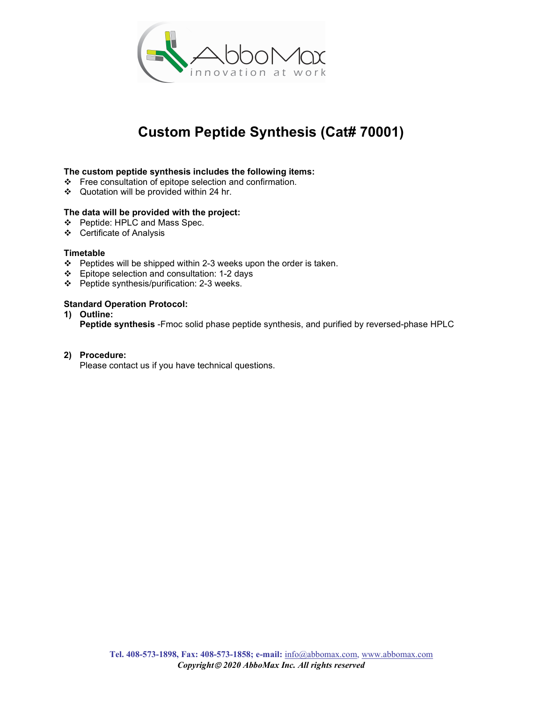

## Custom Peptide Synthesis (Cat# 70001)

#### The custom peptide synthesis includes the following items:

- Free consultation of epitope selection and confirmation.
- Quotation will be provided within 24 hr.

#### The data will be provided with the project:

- Peptide: HPLC and Mass Spec.
- Certificate of Analysis

#### **Timetable**

- Peptides will be shipped within 2-3 weeks upon the order is taken.
- Epitope selection and consultation: 1-2 days
- Peptide synthesis/purification: 2-3 weeks.

#### Standard Operation Protocol:

1) Outline:

Peptide synthesis -Fmoc solid phase peptide synthesis, and purified by reversed-phase HPLC

#### 2) Procedure:

Please contact us if you have technical questions.